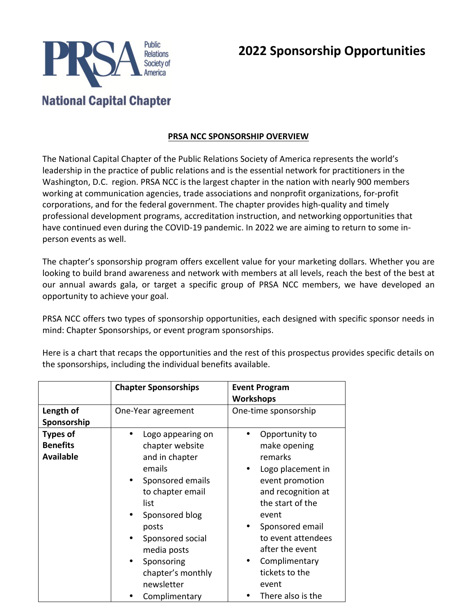

# **2022 Sponsorship Opportunities**

## **PRSA NCC SPONSORSHIP OVERVIEW**

The National Capital Chapter of the Public Relations Society of America represents the world's leadership in the practice of public relations and is the essential network for practitioners in the Washington, D.C. region. PRSA NCC is the largest chapter in the nation with nearly 900 members working at communication agencies, trade associations and nonprofit organizations, for-profit corporations, and for the federal government. The chapter provides high-quality and timely professional development programs, accreditation instruction, and networking opportunities that have continued even during the COVID-19 pandemic. In 2022 we are aiming to return to some inperson events as well.

The chapter's sponsorship program offers excellent value for your marketing dollars. Whether you are looking to build brand awareness and network with members at all levels, reach the best of the best at our annual awards gala, or target a specific group of PRSA NCC members, we have developed an opportunity to achieve your goal.

PRSA NCC offers two types of sponsorship opportunities, each designed with specific sponsor needs in mind: Chapter Sponsorships, or event program sponsorships.

Here is a chart that recaps the opportunities and the rest of this prospectus provides specific details on the sponsorships, including the individual benefits available.

|                  | <b>Chapter Sponsorships</b> | <b>Event Program</b><br><b>Workshops</b> |
|------------------|-----------------------------|------------------------------------------|
| Length of        | One-Year agreement          | One-time sponsorship                     |
| Sponsorship      |                             |                                          |
| <b>Types of</b>  | Logo appearing on           | Opportunity to                           |
| <b>Benefits</b>  | chapter website             | make opening                             |
| <b>Available</b> | and in chapter              | remarks                                  |
|                  | emails                      | Logo placement in                        |
|                  | Sponsored emails            | event promotion                          |
|                  | to chapter email            | and recognition at                       |
|                  | list                        | the start of the                         |
|                  | Sponsored blog              | event                                    |
|                  | posts                       | Sponsored email                          |
|                  | Sponsored social            | to event attendees                       |
|                  | media posts                 | after the event                          |
|                  | Sponsoring                  | Complimentary                            |
|                  | chapter's monthly           | tickets to the                           |
|                  | newsletter                  | event                                    |
|                  | Complimentary               | There also is the                        |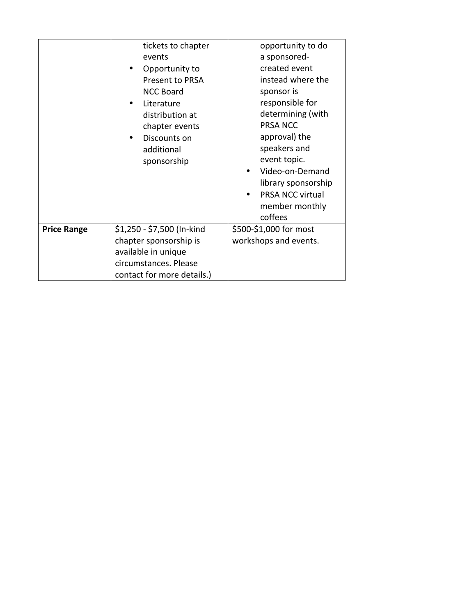|                    | tickets to chapter<br>events<br>Opportunity to<br>Present to PRSA<br><b>NCC Board</b><br>Literature<br>distribution at<br>chapter events<br>Discounts on<br>additional<br>sponsorship | opportunity to do<br>a sponsored-<br>created event<br>instead where the<br>sponsor is<br>responsible for<br>determining (with<br><b>PRSA NCC</b><br>approval) the<br>speakers and<br>event topic.<br>Video-on-Demand<br>library sponsorship<br><b>PRSA NCC virtual</b><br>member monthly<br>coffees |
|--------------------|---------------------------------------------------------------------------------------------------------------------------------------------------------------------------------------|-----------------------------------------------------------------------------------------------------------------------------------------------------------------------------------------------------------------------------------------------------------------------------------------------------|
| <b>Price Range</b> | \$1,250 - \$7,500 (In-kind<br>chapter sponsorship is<br>available in unique<br>circumstances. Please<br>contact for more details.)                                                    | \$500-\$1,000 for most<br>workshops and events.                                                                                                                                                                                                                                                     |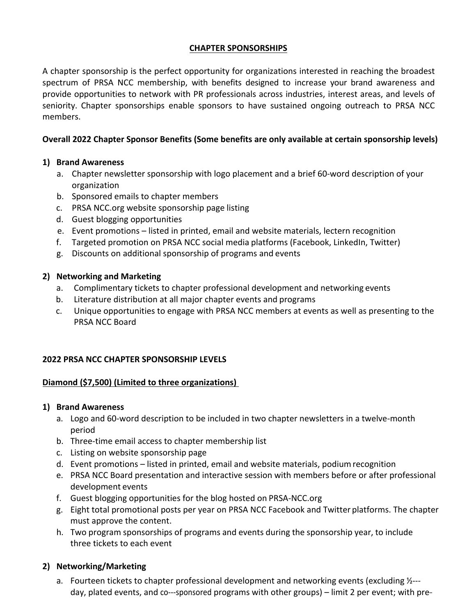## **CHAPTER SPONSORSHIPS**

A chapter sponsorship is the perfect opportunity for organizations interested in reaching the broadest spectrum of PRSA NCC membership, with benefits designed to increase your brand awareness and provide opportunities to network with PR professionals across industries, interest areas, and levels of seniority. Chapter sponsorships enable sponsors to have sustained ongoing outreach to PRSA NCC members. 

## **Overall 2022 Chapter Sponsor Benefits (Some benefits are only available at certain sponsorship levels)**

## **1) Brand Awareness**

- a. Chapter newsletter sponsorship with logo placement and a brief 60-word description of your organization
- b. Sponsored emails to chapter members
- c. PRSA NCC.org website sponsorship page listing
- d. Guest blogging opportunities
- e. Event promotions listed in printed, email and website materials, lectern recognition
- f. Targeted promotion on PRSA NCC social media platforms (Facebook, LinkedIn, Twitter)
- g. Discounts on additional sponsorship of programs and events

## **2) Networking and Marketing**

- a. Complimentary tickets to chapter professional development and networking events
- b. Literature distribution at all major chapter events and programs
- c. Unique opportunities to engage with PRSA NCC members at events as well as presenting to the PRSA NCC Board

## **2022 PRSA NCC CHAPTER SPONSORSHIP LEVELS**

# **Diamond (\$7,500) (Limited to three organizations)**

## **1) Brand Awareness**

- a. Logo and 60-word description to be included in two chapter newsletters in a twelve-month period
- b. Three-time email access to chapter membership list
- c. Listing on website sponsorship page
- d. Event promotions listed in printed, email and website materials, podium recognition
- e. PRSA NCC Board presentation and interactive session with members before or after professional development events
- f. Guest blogging opportunities for the blog hosted on PRSA-NCC.org
- g. Eight total promotional posts per year on PRSA NCC Facebook and Twitter platforms. The chapter must approve the content.
- h. Two program sponsorships of programs and events during the sponsorship year, to include three tickets to each event

# **2) Networking/Marketing**

a. Fourteen tickets to chapter professional development and networking events (excluding  $\frac{1}{2}$ --day, plated events, and co---sponsored programs with other groups) – limit 2 per event; with pre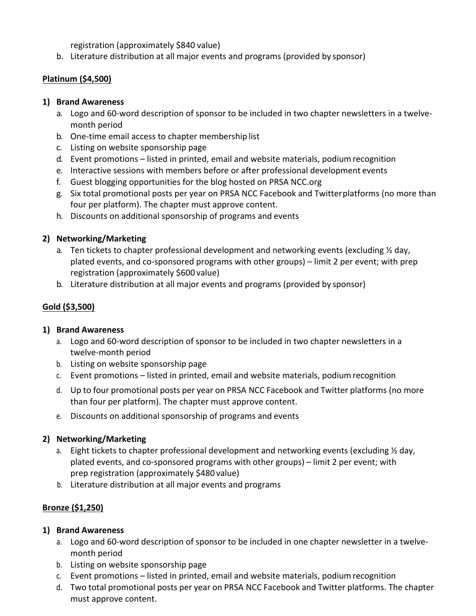registration (approximately \$840 value)

b. Literature distribution at all major events and programs (provided by sponsor)

#### **Platinum (\$4,500)**

#### **1) Brand Awareness**

- a. Logo and 60-word description of sponsor to be included in two chapter newsletters in a twelvemonth period
- b. One-time email access to chapter membership list
- c. Listing on website sponsorship page
- d. Event promotions listed in printed, email and website materials, podium recognition
- e. Interactive sessions with members before or after professional development events
- f. Guest blogging opportunities for the blog hosted on PRSA NCC.org
- g. Six total promotional posts per year on PRSA NCC Facebook and Twitterplatforms (no more than four per platform). The chapter must approve content.
- h. Discounts on additional sponsorship of programs and events

## **2) Networking/Marketing**

- a. Ten tickets to chapter professional development and networking events (excluding  $\frac{1}{2}$  day, plated events, and co-sponsored programs with other groups) – limit 2 per event; with prep registration (approximately \$600 value)
- b. Literature distribution at all major events and programs (provided by sponsor)

## **Gold (\$3,500)**

## **1) Brand Awareness**

- a. Logo and 60-word description of sponsor to be included in two chapter newsletters in a twelve-month period
- b. Listing on website sponsorship page
- c. Event promotions listed in printed, email and website materials, podium recognition
- d. Up to four promotional posts per year on PRSA NCC Facebook and Twitter platforms (no more than four per platform). The chapter must approve content.
- e. Discounts on additional sponsorship of programs and events

## **2) Networking/Marketing**

- a. Eight tickets to chapter professional development and networking events (excluding  $\frac{1}{2}$  day, plated events, and co-sponsored programs with other groups) – limit 2 per event; with prep registration (approximately \$480 value)
- b. Literature distribution at all major events and programs

# **Bronze (\$1,250)**

## **1) Brand Awareness**

- a. Logo and 60-word description of sponsor to be included in one chapter newsletter in a twelvemonth period
- b. Listing on website sponsorship page
- c. Event promotions listed in printed, email and website materials, podium recognition
- d. Two total promotional posts per year on PRSA NCC Facebook and Twitter platforms. The chapter must approve content.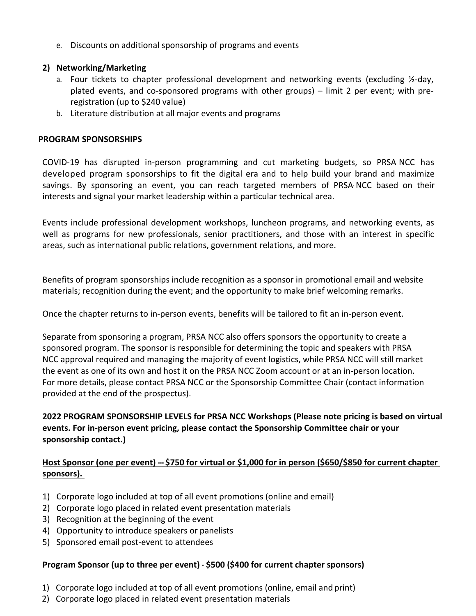e. Discounts on additional sponsorship of programs and events

## **2) Networking/Marketing**

- a. Four tickets to chapter professional development and networking events (excluding ½-day, plated events, and co-sponsored programs with other groups) – limit 2 per event; with preregistration (up to \$240 value)
- b. Literature distribution at all major events and programs

## **PROGRAM SPONSORSHIPS**

COVID-19 has disrupted in-person programming and cut marketing budgets, so PRSA NCC has developed program sponsorships to fit the digital era and to help build your brand and maximize savings. By sponsoring an event, you can reach targeted members of PRSA-NCC based on their interests and signal your market leadership within a particular technical area.

Events include professional development workshops, luncheon programs, and networking events, as well as programs for new professionals, senior practitioners, and those with an interest in specific areas, such as international public relations, government relations, and more.

Benefits of program sponsorships include recognition as a sponsor in promotional email and website materials; recognition during the event; and the opportunity to make brief welcoming remarks.

Once the chapter returns to in-person events, benefits will be tailored to fit an in-person event.

Separate from sponsoring a program, PRSA NCC also offers sponsors the opportunity to create a sponsored program. The sponsor is responsible for determining the topic and speakers with PRSA NCC approval required and managing the majority of event logistics, while PRSA NCC will still market the event as one of its own and host it on the PRSA NCC Zoom account or at an in-person location. For more details, please contact PRSA NCC or the Sponsorship Committee Chair (contact information provided at the end of the prospectus).

# **2022 PROGRAM SPONSORSHIP LEVELS for PRSA NCC Workshops (Please note pricing is based on virtual** events. For in-person event pricing, please contact the Sponsorship Committee chair or your sponsorship contact.)

## Host Sponsor (one per event) -- \$750 for virtual or \$1,000 for in person (\$650/\$850 for current chapter sponsors).

- 1) Corporate logo included at top of all event promotions (online and email)
- 2) Corporate logo placed in related event presentation materials
- 3) Recognition at the beginning of the event
- 4) Opportunity to introduce speakers or panelists
- 5) Sponsored email post-event to attendees

# **Program Sponsor (up to three per event) - \$500 (\$400 for current chapter sponsors)**

- 1) Corporate logo included at top of all event promotions (online, email and print)
- 2) Corporate logo placed in related event presentation materials